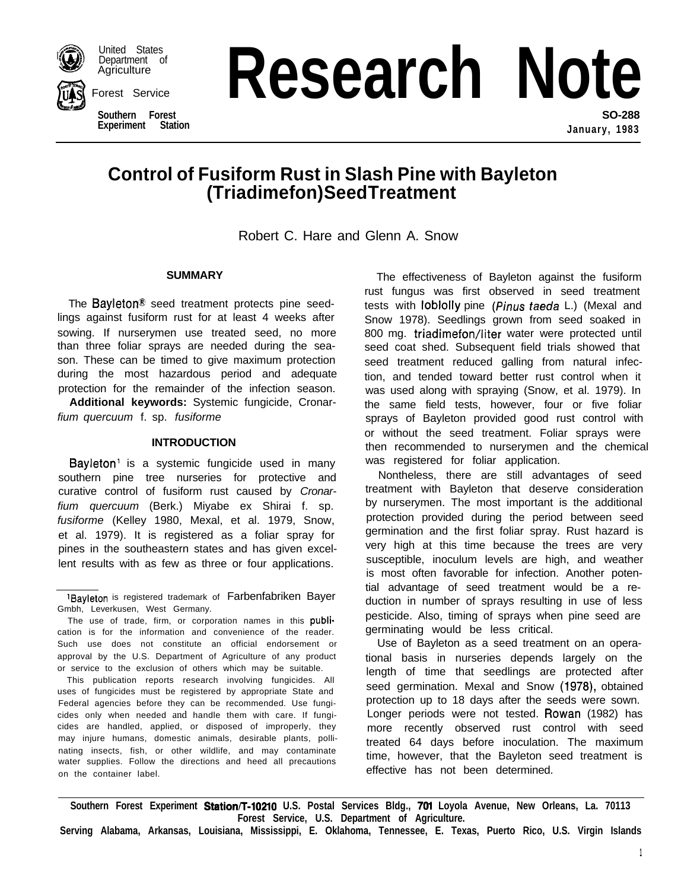

United States<br>Department of **Agriculture** 

Forest Service

**Southern Experiment Station**

**Ince Research Note SO-288**

**January, 1983**

# **Control of Fusiform Rust in Slash Pine with Bayleton (Triadimefon) Seed Treatment**

Robert C. Hare and Glenn A. Snow

# **SUMMARY**

The Bayleton<sup>®</sup> seed treatment protects pine seedlings against fusiform rust for at least 4 weeks after sowing. If nurserymen use treated seed, no more than three foliar sprays are needed during the season. These can be timed to give maximum protection during the most hazardous period and adequate protection for the remainder of the infection season.

**Additional keywords:** Systemic fungicide, Cronar*fium quercuum* f. sp. *fusiforme*

# **INTRODUCTION**

Bayleton<sup>1</sup> is a systemic fungicide used in many southern pine tree nurseries for protective and curative control of fusiform rust caused by *Cronarfium quercuum* (Berk.) Miyabe ex Shirai f. sp. *fusiforme* (Kelley 1980, Mexal, et al. 1979, Snow, et al. 1979). It is registered as a foliar spray for pines in the southeastern states and has given excellent results with as few as three or four applications.

This publication reports research involving fungicides. All uses of fungicides must be registered by appropriate State and Federal agencies before they can be recommended. Use fungicides only when needed and handle them with care. If fungicides are handled, applied, or disposed of improperly, they may injure humans, domestic animals, desirable plants, pollinating insects, fish, or other wildlife, and may contaminate water supplies. Follow the directions and heed all precautions on the container label.

The effectiveness of Bayleton against the fusiform rust fungus was first observed in seed treatment tests with loblolly pine (Pinus *faeda* L.) (Mexal and Snow 1978). Seedlings grown from seed soaked in 800 mg. triadimefon/liter water were protected until seed coat shed. Subsequent field trials showed that seed treatment reduced galling from natural infection, and tended toward better rust control when it was used along with spraying (Snow, et al. 1979). In the same field tests, however, four or five foliar sprays of Bayleton provided good rust control with or without the seed treatment. Foliar sprays were then recommended to nurserymen and the chemical was registered for foliar application.

Nontheless, there are still advantages of seed treatment with Bayleton that deserve consideration by nurserymen. The most important is the additional protection provided during the period between seed germination and the first foliar spray. Rust hazard is very high at this time because the trees are very susceptible, inoculum levels are high, and weather is most often favorable for infection. Another potential advantage of seed treatment would be a reduction in number of sprays resulting in use of less pesticide. Also, timing of sprays when pine seed are germinating would be less critical.

Use of Bayleton as a seed treatment on an operational basis in nurseries depends largely on the length of time that seedlings are protected after seed germination. Mexal and Snow (1978), obtained protection up to 18 days after the seeds were sown. Longer periods were not tested. Rowan (1982) has more recently observed rust control with seed treated 64 days before inoculation. The maximum time, however, that the Bayleton seed treatment is effective has not been determined.

Southern Forest Experiment Station/T-10210 U.S. Postal Services Bldg., 701 Loyola Avenue, New Orleans, La. 70113 **Forest Service, U.S. Department of Agriculture.**

**Serving Alabama, Arkansas, Louisiana, Mississippi, E. Oklahoma, Tennessee, E. Texas, Puerto Rico, U.S. Virgin Islands**

<sup>&#</sup>x27;Bayleton is registered trademark of Farbenfabriken Bayer Gmbh, Leverkusen, West Germany.

The use of trade, firm, or corporation names in this publication is for the information and convenience of the reader. Such use does not constitute an official endorsement or approval by the U.S. Department of Agriculture of any product or service to the exclusion of others which may be suitable.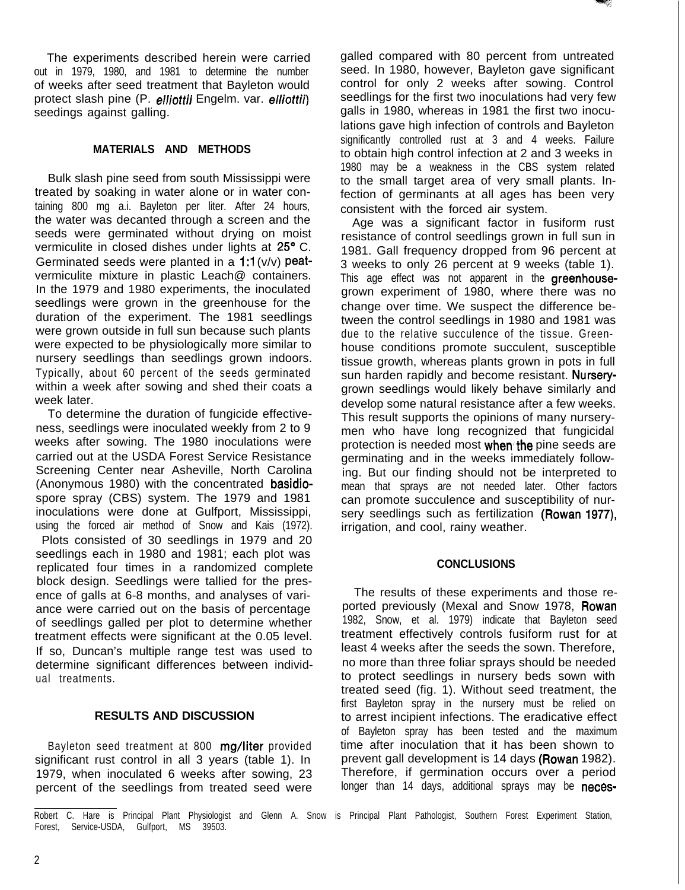The experiments described herein were carried out in 1979, 1980, and 1981 to determine the number of weeks after seed treatment that Bayleton would protect slash pine (P. elliottii Engelm. var. elliottii) seedings against galling.

# **MATERIALS AND METHODS**

Bulk slash pine seed from south Mississippi were treated by soaking in water alone or in water containing 800 mg a.i. Bayleton per liter. After 24 hours, the water was decanted through a screen and the seeds were germinated without drying on moist vermiculite in closed dishes under lights at 25° C. Germinated seeds were planted in a  $1:1(y/y)$  peatvermiculite mixture in plastic Leach@ containers. In the 1979 and 1980 experiments, the inoculated seedlings were grown in the greenhouse for the duration of the experiment. The 1981 seedlings were grown outside in full sun because such plants were expected to be physiologically more similar to nursery seedlings than seedlings grown indoors. Typically, about 60 percent of the seeds germinated within a week after sowing and shed their coats a week later.

To determine the duration of fungicide effectiveness, seedlings were inoculated weekly from 2 to 9 weeks after sowing. The 1980 inoculations were carried out at the USDA Forest Service Resistance Screening Center near Asheville, North Carolina (Anonymous 1980) with the concentrated basidiospore spray (CBS) system. The 1979 and 1981 inoculations were done at Gulfport, Mississippi, using the forced air method of Snow and Kais (1972). Plots consisted of 30 seedlings in 1979 and 20 seedlings each in 1980 and 1981; each plot was replicated four times in a randomized complete block design. Seedlings were tallied for the presence of galls at 6-8 months, and analyses of variance were carried out on the basis of percentage of seedlings galled per plot to determine whether treatment effects were significant at the 0.05 level. If so, Duncan's multiple range test was used to determine significant differences between individual treatments.

#### **RESULTS AND DISCUSSION**

Bayleton seed treatment at 800 mg/liter provided significant rust control in all 3 years (table 1). In 1979, when inoculated 6 weeks after sowing, 23 percent of the seedlings from treated seed were galled compared with 80 percent from untreated seed. In 1980, however, Bayleton gave significant control for only 2 weeks after sowing. Control seedlings for the first two inoculations had very few galls in 1980, whereas in 1981 the first two inoculations gave high infection of controls and Bayleton significantly controlled rust at 3 and 4 weeks. Failure to obtain high control infection at 2 and 3 weeks in 1980 may be a weakness in the CBS system related to the small target area of very small plants. Infection of germinants at all ages has been very consistent with the forced air system.

Age was a significant factor in fusiform rust resistance of control seedlings grown in full sun in 1981. Gall frequency dropped from 96 percent at 3 weeks to only 26 percent at 9 weeks (table 1). This age effect was not apparent in the **greenhouse**grown experiment of 1980, where there was no change over time. We suspect the difference between the control seedlings in 1980 and 1981 was due to the relative succulence of the tissue. Greenhouse conditions promote succulent, susceptible tissue growth, whereas plants grown in pots in full sun harden rapidly and become resistant. Nurserygrown seedlings would likely behave similarly and develop some natural resistance after a few weeks. This result supports the opinions of many nurserymen who have long recognized that fungicidal protection is needed most when the pine seeds are germinating and in the weeks immediately following. But our finding should not be interpreted to mean that sprays are not needed later. Other factors can promote succulence and susceptibility of nursery seedlings such as fertilization (Rowan 1977), irrigation, and cool, rainy weather.

#### **CONCLUSIONS**

The results of these experiments and those reported previously (Mexal and Snow 1978, Rowan 1982, Snow, et al. 1979) indicate that Bayleton seed treatment effectively controls fusiform rust for at least 4 weeks after the seeds the sown. Therefore, no more than three foliar sprays should be needed to protect seedlings in nursery beds sown with treated seed (fig. 1). Without seed treatment, the first Bayleton spray in the nursery must be relied on to arrest incipient infections. The eradicative effect of Bayleton spray has been tested and the maximum time after inoculation that it has been shown to prevent gall development is 14 days (Rowan 1982). Therefore, if germination occurs over a period longer than 14 days, additional sprays may be neces-

Robert C. Hare is Principal Plant Physiologist and Glenn A. Snow is Principal Plant Pathologist, Southern Forest Experiment Station, Forest, Service-USDA, Gulfport, MS 39503.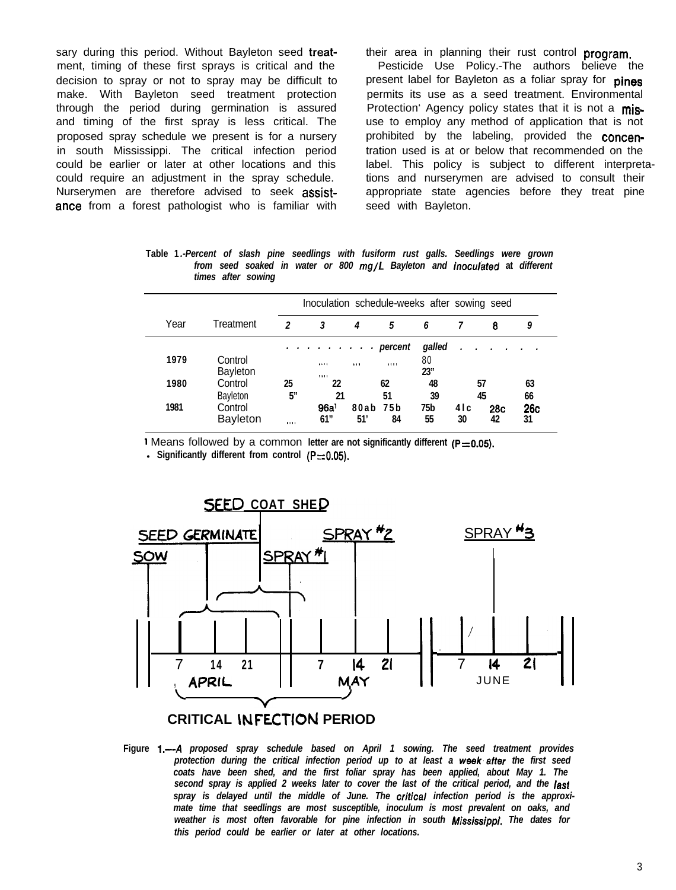sary during this period. Without Bayleton seed treat-<br>their area in planning their rust control program. ment, timing of these first sprays is critical and the Pesticide Use Policy.-The authors believe the decision to spray or not to spray may be difficult to present label for Bayleton as a foliar spray for **pines** make. With Bayleton seed treatment protection permits its use as a seed treatment. Environmental through the period during germination is assured Protection' Agency policy states that it is not a misand timing of the first spray is less critical. The use to employ any method of application that is not proposed spray schedule we present is for a nursery prohibited by the labeling, provided the concenin south Mississippi. The critical infection period tration used is at or below that recommended on the could require an adjustment in the spray schedule. tions and nurserymen are advised to consult their Nurserymen are therefore advised to seek assist-<br>
appropriate state agencies before they treat pine ance from a forest pathologist who is familiar with seed with Bayleton.

could be earlier or later at other locations and this label. This policy is subject to different interpreta-

**Table 1** *.-Percent of slash pine seedlings with fusiform rust galls. Seedlings were grown from seed soaked in water or 800 mg/L Bayleton and inocol&ed* **at** *different times after sowing*

|      |                            | Inoculation schedule-weeks after sowing seed |                         |                 |          |            |             |                  |           |  |
|------|----------------------------|----------------------------------------------|-------------------------|-----------------|----------|------------|-------------|------------------|-----------|--|
| Year | Treatment                  | 2                                            | 3                       | 4               | 5        | 6          |             | 8                | 9         |  |
|      |                            |                                              | . percent               |                 |          | galled     |             |                  |           |  |
| 1979 | Control<br>Bayleton        |                                              | 1.111<br><b>A111</b>    | 113             | 1111     | 80<br>23'' |             |                  |           |  |
| 1980 | Control<br>Bayleton        | 25<br>5"                                     | 22<br>21                |                 | 62<br>51 | 48<br>39   |             | 57<br>45         | 63<br>66  |  |
| 1981 | Control<br><b>Bayleton</b> | 1111                                         | 96a <sup>1</sup><br>61" | 80ab 75b<br>51' | 84       | 75b<br>55  | 4 I c<br>30 | <b>28c</b><br>42 | 26c<br>31 |  |

1 Means followed by a common letter are not significantly different (P=0.05).

**Significantly different from control (P=0.05).** 



# **CRITICAL WFECTION PERIOD**

**Figure 1.-A** *proposed spray schedule based on April 1 sowing. The seed treatment provides protection during the critical infection period up to at least a week'after the first seed coats have been shed, and the first foliar spray has been applied, about May 1. The second spray is applied 2 weeks later to cover the last of the critical period, and the lash spray is delayed until the middle of June. The oritical infection period is the approximate time that seedlings are most susceptible, inoculum is most prevalent on oaks, and weather is most often favorable for pine infection in south Mississippf. The dates for this period could be earlier or later at other locations.*